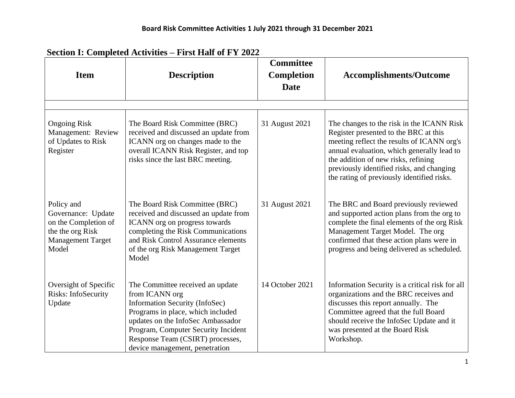| <b>Item</b>                                                                                                       | <b>Description</b>                                                                                                                                                                                                                                                          | <b>Committee</b><br><b>Completion</b><br><b>Date</b> | <b>Accomplishments/Outcome</b>                                                                                                                                                                                                                                                                                   |  |  |
|-------------------------------------------------------------------------------------------------------------------|-----------------------------------------------------------------------------------------------------------------------------------------------------------------------------------------------------------------------------------------------------------------------------|------------------------------------------------------|------------------------------------------------------------------------------------------------------------------------------------------------------------------------------------------------------------------------------------------------------------------------------------------------------------------|--|--|
|                                                                                                                   |                                                                                                                                                                                                                                                                             |                                                      |                                                                                                                                                                                                                                                                                                                  |  |  |
| <b>Ongoing Risk</b><br>Management: Review<br>of Updates to Risk<br>Register                                       | The Board Risk Committee (BRC)<br>received and discussed an update from<br>ICANN org on changes made to the<br>overall ICANN Risk Register, and top<br>risks since the last BRC meeting.                                                                                    | 31 August 2021                                       | The changes to the risk in the ICANN Risk<br>Register presented to the BRC at this<br>meeting reflect the results of ICANN org's<br>annual evaluation, which generally lead to<br>the addition of new risks, refining<br>previously identified risks, and changing<br>the rating of previously identified risks. |  |  |
| Policy and<br>Governance: Update<br>on the Completion of<br>the the org Risk<br><b>Management Target</b><br>Model | The Board Risk Committee (BRC)<br>received and discussed an update from<br>ICANN org on progress towards<br>completing the Risk Communications<br>and Risk Control Assurance elements<br>of the org Risk Management Target<br>Model                                         | 31 August 2021                                       | The BRC and Board previously reviewed<br>and supported action plans from the org to<br>complete the final elements of the org Risk<br>Management Target Model. The org<br>confirmed that these action plans were in<br>progress and being delivered as scheduled.                                                |  |  |
| Oversight of Specific<br>Risks: InfoSecurity<br>Update                                                            | The Committee received an update<br>from ICANN org<br>Information Security (InfoSec)<br>Programs in place, which included<br>updates on the InfoSec Ambassador<br>Program, Computer Security Incident<br>Response Team (CSIRT) processes,<br>device management, penetration | 14 October 2021                                      | Information Security is a critical risk for all<br>organizations and the BRC receives and<br>discusses this report annually. The<br>Committee agreed that the full Board<br>should receive the InfoSec Update and it<br>was presented at the Board Risk<br>Workshop.                                             |  |  |

## **Section I: Completed Activities – First Half of FY 2022**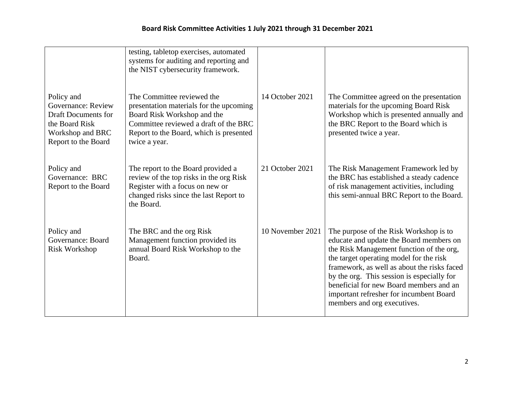|                                                                                                                             | testing, tabletop exercises, automated<br>systems for auditing and reporting and<br>the NIST cybersecurity framework.                                                                                     |                  |                                                                                                                                                                                                                                                                                                                                                                                            |
|-----------------------------------------------------------------------------------------------------------------------------|-----------------------------------------------------------------------------------------------------------------------------------------------------------------------------------------------------------|------------------|--------------------------------------------------------------------------------------------------------------------------------------------------------------------------------------------------------------------------------------------------------------------------------------------------------------------------------------------------------------------------------------------|
| Policy and<br>Governance: Review<br><b>Draft Documents for</b><br>the Board Risk<br>Workshop and BRC<br>Report to the Board | The Committee reviewed the<br>presentation materials for the upcoming<br>Board Risk Workshop and the<br>Committee reviewed a draft of the BRC<br>Report to the Board, which is presented<br>twice a year. | 14 October 2021  | The Committee agreed on the presentation<br>materials for the upcoming Board Risk<br>Workshop which is presented annually and<br>the BRC Report to the Board which is<br>presented twice a year.                                                                                                                                                                                           |
| Policy and<br>Governance: BRC<br>Report to the Board                                                                        | The report to the Board provided a<br>review of the top risks in the org Risk<br>Register with a focus on new or<br>changed risks since the last Report to<br>the Board.                                  | 21 October 2021  | The Risk Management Framework led by<br>the BRC has established a steady cadence<br>of risk management activities, including<br>this semi-annual BRC Report to the Board.                                                                                                                                                                                                                  |
| Policy and<br>Governance: Board<br>Risk Workshop                                                                            | The BRC and the org Risk<br>Management function provided its<br>annual Board Risk Workshop to the<br>Board.                                                                                               | 10 November 2021 | The purpose of the Risk Workshop is to<br>educate and update the Board members on<br>the Risk Management function of the org,<br>the target operating model for the risk<br>framework, as well as about the risks faced<br>by the org. This session is especially for<br>beneficial for new Board members and an<br>important refresher for incumbent Board<br>members and org executives. |